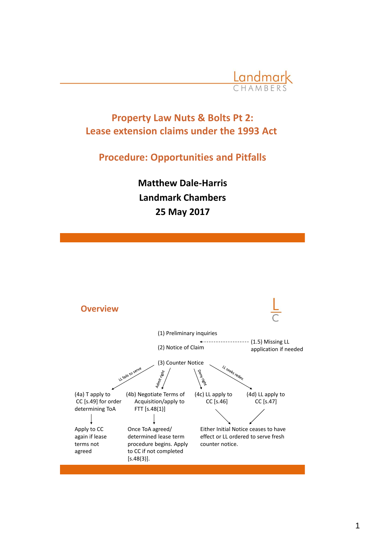

# **Property Law Nuts & Bolts Pt 2: Lease extension claims under the 1993 Act**

## **Procedure: Opportunities and Pitfalls**

**Matthew Dale-Harris Landmark Chambers 25 May 2017**

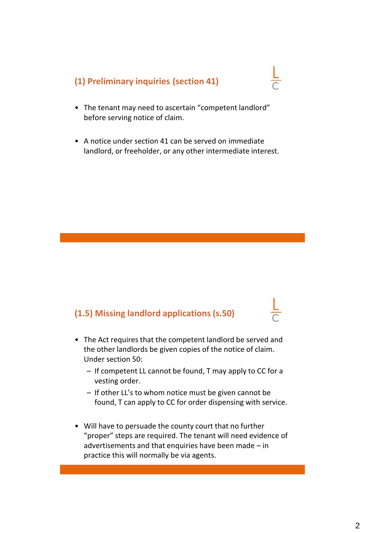## **(1) Preliminary inquiries (section 41)**

- The tenant may need to ascertain "competent landlord" before serving notice of claim.
- A notice under section 41 can be served on immediate landlord, or freeholder, or any other intermediate interest.

### **(1.5) Missing landlord applications (s.50)**

- The Act requires that the competent landlord be served and the other landlords be given copies of the notice of claim. Under section 50:
	- If competent LL cannot be found, T may apply to CC for a vesting order.
	- If other LL's to whom notice must be given cannot be found, T can apply to CC for order dispensing with service.
- Will have to persuade the county court that no further "proper" steps are required. The tenant will need evidence of advertisements and that enquiries have been made – in practice this will normally be via agents.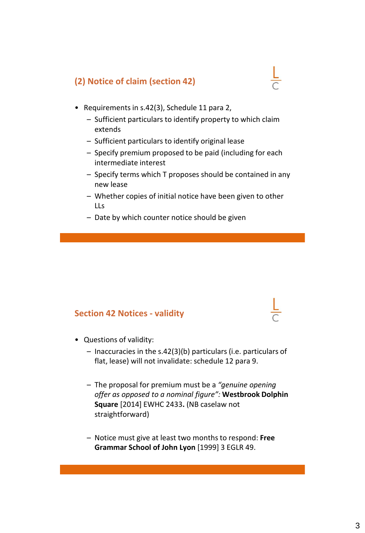## **(2) Notice of claim (section 42)**

- Requirements in s.42(3), Schedule 11 para 2,
	- Sufficient particulars to identify property to which claim extends
	- Sufficient particulars to identify original lease
	- Specify premium proposed to be paid (including for each intermediate interest
	- Specify terms which T proposes should be contained in any new lease
	- Whether copies of initial notice have been given to other LLs
	- Date by which counter notice should be given

#### **Section 42 Notices - validity**

- Questions of validity:
	- Inaccuracies in the s.42(3)(b) particulars (i.e. particulars of flat, lease) will not invalidate: schedule 12 para 9.
	- The proposal for premium must be a *"genuine opening offer as opposed to a nominal figure":* **Westbrook Dolphin Square** [2014] EWHC 2433**.** (NB caselaw not straightforward)
	- Notice must give at least two months to respond: **Free Grammar School of John Lyon** [1999] 3 EGLR 49.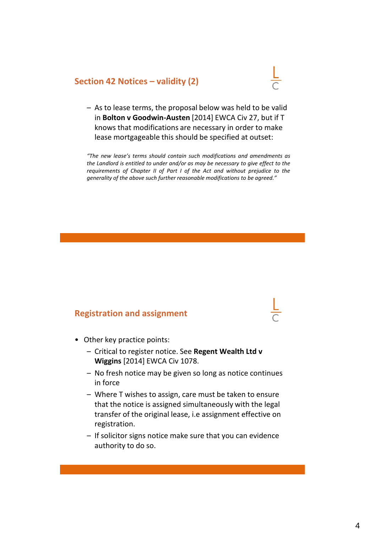#### **Section 42 Notices – validity (2)**

- 
- As to lease terms, the proposal below was held to be valid in **Bolton v Goodwin-Austen** [2014] EWCA Civ 27, but if T knows that modifications are necessary in order to make lease mortgageable this should be specified at outset:

*"The new lease's terms should contain such modifications and amendments as the Landlord is entitled to under and/or as may be necessary to give effect to the requirements of Chapter II of Part I of the Act and without prejudice to the generality of the above such further reasonable modifications to be agreed."*

#### **Registration and assignment**

- Other key practice points:
	- Critical to register notice. See **Regent Wealth Ltd v Wiggins** [2014] EWCA Civ 1078.
	- No fresh notice may be given so long as notice continues in force
	- Where T wishes to assign, care must be taken to ensure that the notice is assigned simultaneously with the legal transfer of the original lease, i.e assignment effective on registration.
	- If solicitor signs notice make sure that you can evidence authority to do so.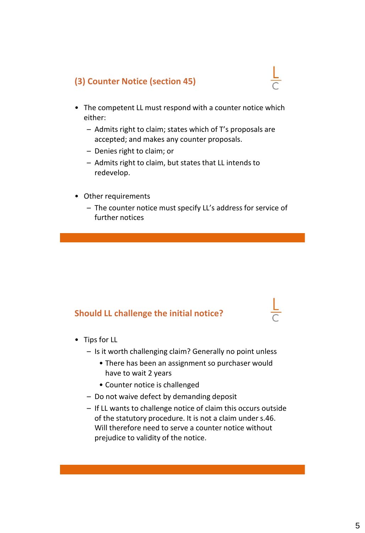## **(3) Counter Notice (section 45)**

- The competent LL must respond with a counter notice which either:
	- Admits right to claim; states which of T's proposals are accepted; and makes any counter proposals.
	- Denies right to claim; or
	- Admits right to claim, but states that LL intends to redevelop.
- Other requirements
	- The counter notice must specify LL's address for service of further notices

### **Should LL challenge the initial notice?**

- Tips for LL
	- Is it worth challenging claim? Generally no point unless
		- There has been an assignment so purchaser would have to wait 2 years
		- Counter notice is challenged
	- Do not waive defect by demanding deposit
	- If LL wants to challenge notice of claim this occurs outside of the statutory procedure. It is not a claim under s.46. Will therefore need to serve a counter notice without prejudice to validity of the notice.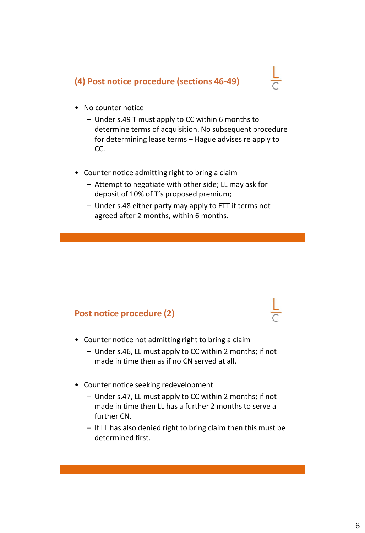## **(4) Post notice procedure (sections 46-49)**



- No counter notice
	- Under s.49 T must apply to CC within 6 months to determine terms of acquisition. No subsequent procedure for determining lease terms – Hague advises re apply to CC.
- Counter notice admitting right to bring a claim
	- Attempt to negotiate with other side; LL may ask for deposit of 10% of T's proposed premium;
	- Under s.48 either party may apply to FTT if terms not agreed after 2 months, within 6 months.

#### **Post notice procedure (2)**

- Counter notice not admitting right to bring a claim
	- Under s.46, LL must apply to CC within 2 months; if not made in time then as if no CN served at all.
- Counter notice seeking redevelopment
	- Under s.47, LL must apply to CC within 2 months; if not made in time then LL has a further 2 months to serve a further CN.
	- If LL has also denied right to bring claim then this must be determined first.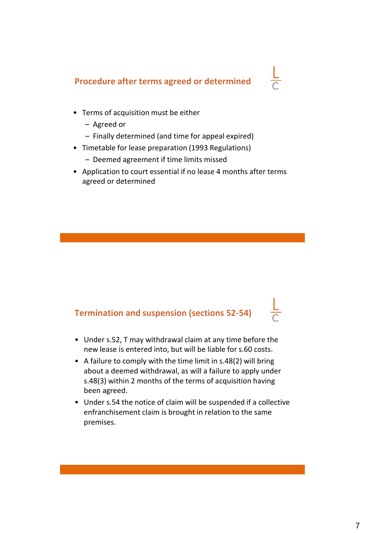# **Procedure after terms agreed or determined**

- Terms of acquisition must be either
	- Agreed or
	- Finally determined (and time for appeal expired)
- Timetable for lease preparation (1993 Regulations)
	- Deemed agreement if time limits missed
- Application to court essential if no lease 4 months after terms agreed or determined

## **Termination and suspension (sections 52-54)**

- Under s.52, T may withdrawal claim at any time before the new lease is entered into, but will be liable for s.60 costs.
- A failure to comply with the time limit in s.48(2) will bring about a deemed withdrawal, as will a failure to apply under s.48(3) within 2 months of the terms of acquisition having been agreed.
- Under s.54 the notice of claim will be suspended if a collective enfranchisement claim is brought in relation to the same premises.